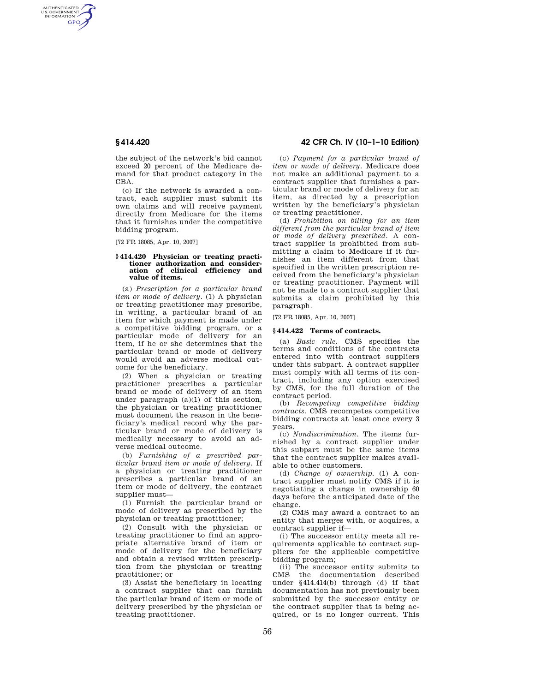AUTHENTICATED<br>U.S. GOVERNMENT<br>INFORMATION **GPO** 

> the subject of the network's bid cannot exceed 20 percent of the Medicare demand for that product category in the CBA.

> (c) If the network is awarded a contract, each supplier must submit its own claims and will receive payment directly from Medicare for the items that it furnishes under the competitive bidding program.

[72 FR 18085, Apr. 10, 2007]

#### **§ 414.420 Physician or treating practitioner authorization and consideration of clinical efficiency and value of items.**

(a) *Prescription for a particular brand item or mode of delivery.* (1) A physician or treating practitioner may prescribe, in writing, a particular brand of an item for which payment is made under a competitive bidding program, or a particular mode of delivery for an item, if he or she determines that the particular brand or mode of delivery would avoid an adverse medical outcome for the beneficiary.

(2) When a physician or treating practitioner prescribes a particular brand or mode of delivery of an item under paragraph (a)(1) of this section, the physician or treating practitioner must document the reason in the beneficiary's medical record why the particular brand or mode of delivery is medically necessary to avoid an adverse medical outcome.

(b) *Furnishing of a prescribed particular brand item or mode of delivery.* If a physician or treating practitioner prescribes a particular brand of an item or mode of delivery, the contract supplier must—

(1) Furnish the particular brand or mode of delivery as prescribed by the physician or treating practitioner;

(2) Consult with the physician or treating practitioner to find an appropriate alternative brand of item or mode of delivery for the beneficiary and obtain a revised written prescription from the physician or treating practitioner; or

(3) Assist the beneficiary in locating a contract supplier that can furnish the particular brand of item or mode of delivery prescribed by the physician or treating practitioner.

# **§ 414.420 42 CFR Ch. IV (10–1–10 Edition)**

(c) *Payment for a particular brand of item or mode of delivery.* Medicare does not make an additional payment to a contract supplier that furnishes a particular brand or mode of delivery for an item, as directed by a prescription written by the beneficiary's physician or treating practitioner.

(d) *Prohibition on billing for an item different from the particular brand of item or mode of delivery prescribed.* A contract supplier is prohibited from submitting a claim to Medicare if it furnishes an item different from that specified in the written prescription received from the beneficiary's physician or treating practitioner. Payment will not be made to a contract supplier that submits a claim prohibited by this paragraph.

[72 FR 18085, Apr. 10, 2007]

### **§ 414.422 Terms of contracts.**

(a) *Basic rule.* CMS specifies the terms and conditions of the contracts entered into with contract suppliers under this subpart. A contract supplier must comply with all terms of its contract, including any option exercised by CMS, for the full duration of the contract period.

(b) *Recompeting competitive bidding contracts.* CMS recompetes competitive bidding contracts at least once every 3 years.

(c) *Nondiscrimination.* The items furnished by a contract supplier under this subpart must be the same items that the contract supplier makes available to other customers.

(d) *Change of ownership.* (1) A contract supplier must notify CMS if it is negotiating a change in ownership 60 days before the anticipated date of the change.

(2) CMS may award a contract to an entity that merges with, or acquires, a contract supplier if—

(i) The successor entity meets all requirements applicable to contract suppliers for the applicable competitive bidding program;

(ii) The successor entity submits to CMS the documentation described under §414.414(b) through (d) if that documentation has not previously been submitted by the successor entity or the contract supplier that is being acquired, or is no longer current. This